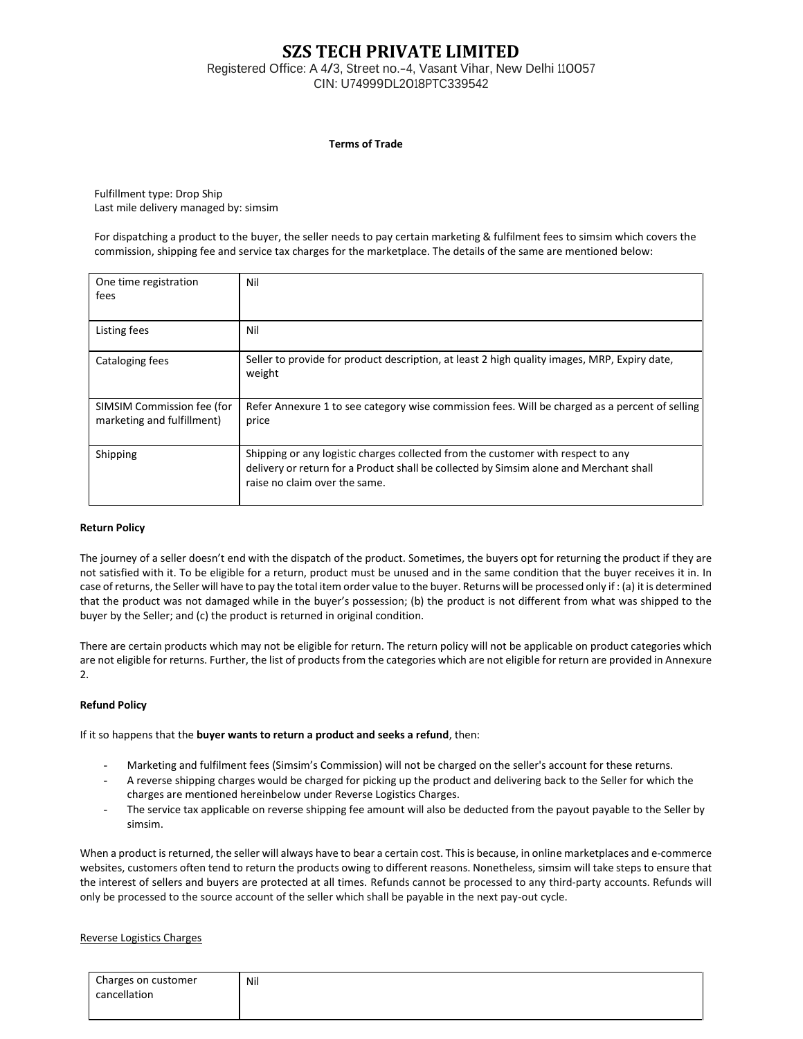# **SZS TECH PRIVATE LIMITED**

Registered Office: <sup>A</sup> 4/3, Street no.-4, Vasant Vihar, New Delhi 110057 CIN: U74999DL2018PTC339542

### **Terms of Trade**

Fulfillment type: Drop Ship Last mile delivery managed by: simsim

For dispatching a product to the buyer, the seller needs to pay certain marketing & fulfilment fees to simsim which covers the commission, shipping fee and service tax charges for the marketplace. The details of the same are mentioned below:

| One time registration<br>fees                            | Nil                                                                                                                                                                                                         |
|----------------------------------------------------------|-------------------------------------------------------------------------------------------------------------------------------------------------------------------------------------------------------------|
| Listing fees                                             | Nil                                                                                                                                                                                                         |
| Cataloging fees                                          | Seller to provide for product description, at least 2 high quality images, MRP, Expiry date,<br>weight                                                                                                      |
| SIMSIM Commission fee (for<br>marketing and fulfillment) | Refer Annexure 1 to see category wise commission fees. Will be charged as a percent of selling<br>price                                                                                                     |
| Shipping                                                 | Shipping or any logistic charges collected from the customer with respect to any<br>delivery or return for a Product shall be collected by Simsim alone and Merchant shall<br>raise no claim over the same. |

### **Return Policy**

The journey of a seller doesn't end with the dispatch of the product. Sometimes, the buyers opt for returning the product if they are not satisfied with it. To be eligible for a return, product must be unused and in the same condition that the buyer receives it in. In case of returns, the Seller will have to pay the total item order value to the buyer. Returns will be processed only if : (a) it is determined that the product was not damaged while in the buyer's possession; (b) the product is not different from what was shipped to the buyer by the Seller; and (c) the product is returned in original condition.

There are certain products which may not be eligible for return. The return policy will not be applicable on product categories which are not eligible for returns. Further, the list of products from the categories which are not eligible for return are provided in Annexure 2.

# **Refund Policy**

If it so happens that the **buyer wants to return a product and seeks a refund**, then:

- Marketing and fulfilment fees (Simsim's Commission) will not be charged on the seller's account for these returns.
- A reverse shipping charges would be charged for picking up the product and delivering back to the Seller for which the charges are mentioned hereinbelow under Reverse Logistics Charges.
- The service tax applicable on reverse shipping fee amount will also be deducted from the payout payable to the Seller by simsim.

When a product is returned, the seller will always have to bear a certain cost. This is because, in online marketplaces and e-commerce websites, customers often tend to return the products owing to different reasons. Nonetheless, simsim will take steps to ensure that the interest of sellers and buyers are protected at all times. Refunds cannot be processed to any third-party accounts. Refunds will only be processed to the source account of the seller which shall be payable in the next pay-out cycle.

### Reverse Logistics Charges

| Charges on customer | Nil |
|---------------------|-----|
| cancellation        |     |
|                     |     |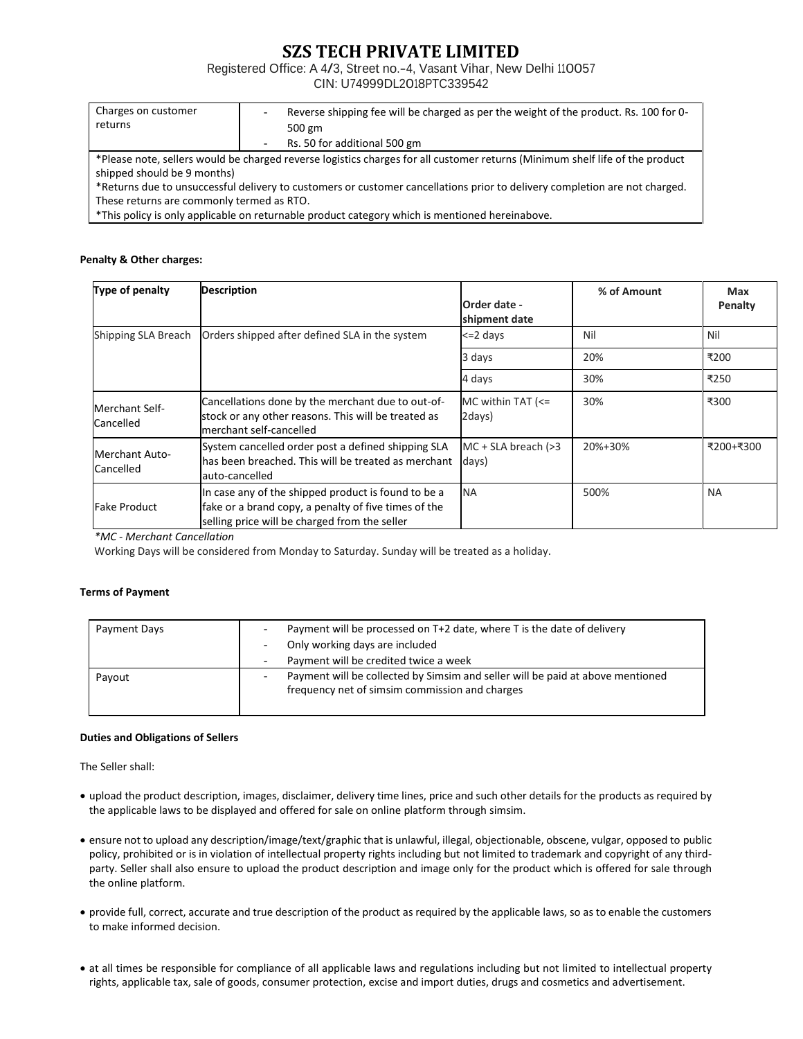# **SZS TECH PRIVATE LIMITED**

Registered Office: <sup>A</sup> 4/3, Street no.-4, Vasant Vihar, New Delhi 110057

CIN: U74999DL2018PTC339542

| Charges on customer<br>returns            | -                        | Reverse shipping fee will be charged as per the weight of the product. Rs. 100 for 0-<br>500 gm                              |
|-------------------------------------------|--------------------------|------------------------------------------------------------------------------------------------------------------------------|
|                                           | $\overline{\phantom{a}}$ | Rs. 50 for additional 500 gm                                                                                                 |
|                                           |                          | *Please note, sellers would be charged reverse logistics charges for all customer returns (Minimum shelf life of the product |
| shipped should be 9 months)               |                          |                                                                                                                              |
|                                           |                          | *Returns due to unsuccessful delivery to customers or customer cancellations prior to delivery completion are not charged.   |
| These returns are commonly termed as RTO. |                          |                                                                                                                              |
|                                           |                          |                                                                                                                              |

\*This policy is only applicable on returnable product category which is mentioned hereinabove.

# **Penalty & Other charges:**

| Type of penalty                    | <b>Description</b>                                                                                                                                           | Order date -<br>shipment date  | % of Amount | Max<br><b>Penalty</b> |
|------------------------------------|--------------------------------------------------------------------------------------------------------------------------------------------------------------|--------------------------------|-------------|-----------------------|
| Shipping SLA Breach                | Orders shipped after defined SLA in the system                                                                                                               | <=2 davs                       | Nil         | Nil                   |
|                                    |                                                                                                                                                              | 3 days                         | 20%         | ₹200                  |
|                                    |                                                                                                                                                              | 4 days                         | 30%         | ₹250                  |
| Merchant Self-<br>Cancelled        | Cancellations done by the merchant due to out-of-<br>stock or any other reasons. This will be treated as<br>merchant self-cancelled                          | MC within TAT $\leq$<br>2days) | 30%         | ₹300                  |
| <b>Merchant Auto-</b><br>Cancelled | System cancelled order post a defined shipping SLA<br>lhas been breached. This will be treated as merchant<br>auto-cancelled                                 | $MC + SLA$ breach (>3<br>days) | 20%+30%     | ₹200+₹300             |
| <b>Fake Product</b>                | In case any of the shipped product is found to be a<br>fake or a brand copy, a penalty of five times of the<br>selling price will be charged from the seller | <b>NA</b>                      | 500%        | <b>NA</b>             |

*\*MC - Merchant Cancellation*

Working Days will be considered from Monday to Saturday. Sunday will be treated as a holiday.

# **Terms of Payment**

| Payment Days | Payment will be processed on T+2 date, where T is the date of delivery<br>Only working days are included<br>Payment will be credited twice a week |
|--------------|---------------------------------------------------------------------------------------------------------------------------------------------------|
| Payout       | Payment will be collected by Simsim and seller will be paid at above mentioned<br>frequency net of simsim commission and charges                  |

### **Duties and Obligations of Sellers**

The Seller shall:

- upload the product description, images, disclaimer, delivery time lines, price and such other details for the products as required by the applicable laws to be displayed and offered for sale on online platform through simsim.
- ensure not to upload any description/image/text/graphic that is unlawful, illegal, objectionable, obscene, vulgar, opposed to public policy, prohibited or is in violation of intellectual property rights including but not limited to trademark and copyright of any thirdparty. Seller shall also ensure to upload the product description and image only for the product which is offered for sale through the online platform.
- provide full, correct, accurate and true description of the product as required by the applicable laws, so as to enable the customers to make informed decision.
- at all times be responsible for compliance of all applicable laws and regulations including but not limited to intellectual property rights, applicable tax, sale of goods, consumer protection, excise and import duties, drugs and cosmetics and advertisement.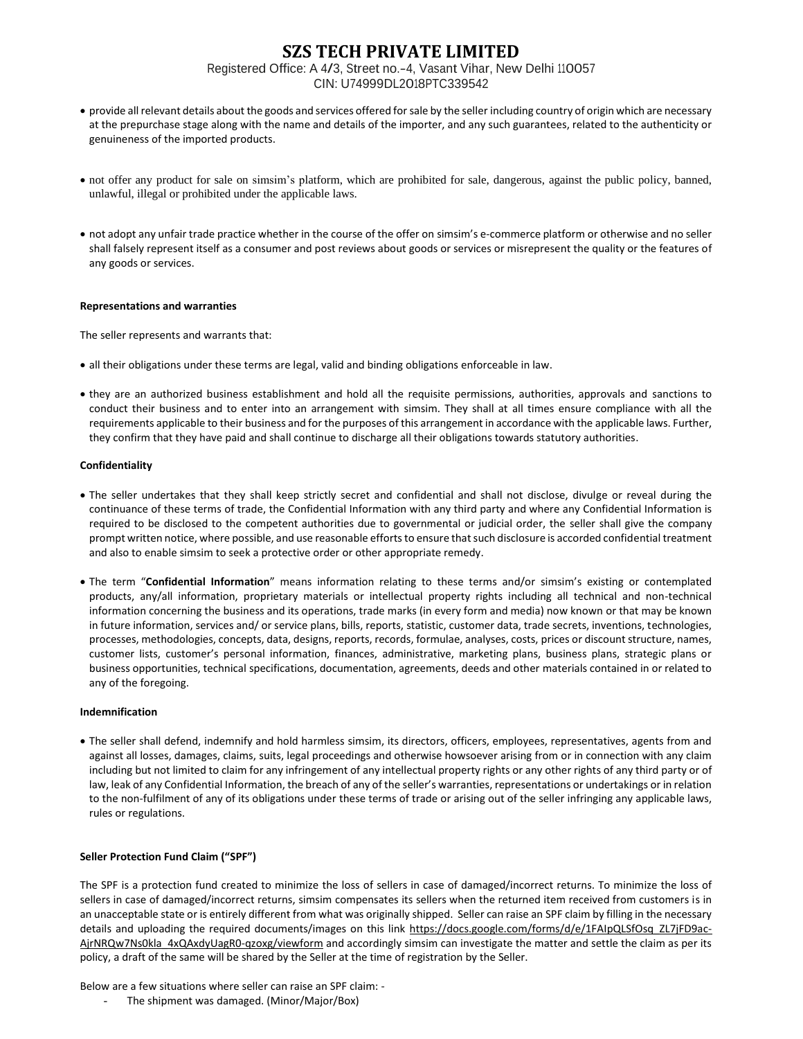# **SZS TECH PRIVATE LIMITED** Registered Office: <sup>A</sup> 4/3, Street no.-4, Vasant Vihar, New Delhi 110057 CIN: U74999DL2018PTC339542

- provide all relevant details about the goods and services offered for sale by the seller including country of origin which are necessary at the prepurchase stage along with the name and details of the importer, and any such guarantees, related to the authenticity or genuineness of the imported products.
- not offer any product for sale on simsim's platform, which are prohibited for sale, dangerous, against the public policy, banned, unlawful, illegal or prohibited under the applicable laws.
- not adopt any unfair trade practice whether in the course of the offer on simsim's e-commerce platform or otherwise and no seller shall falsely represent itself as a consumer and post reviews about goods or services or misrepresent the quality or the features of any goods or services.

### **Representations and warranties**

The seller represents and warrants that:

- all their obligations under these terms are legal, valid and binding obligations enforceable in law.
- they are an authorized business establishment and hold all the requisite permissions, authorities, approvals and sanctions to conduct their business and to enter into an arrangement with simsim. They shall at all times ensure compliance with all the requirements applicable to their business and for the purposes of this arrangement in accordance with the applicable laws. Further, they confirm that they have paid and shall continue to discharge all their obligations towards statutory authorities.

### **Confidentiality**

- The seller undertakes that they shall keep strictly secret and confidential and shall not disclose, divulge or reveal during the continuance of these terms of trade, the Confidential Information with any third party and where any Confidential Information is required to be disclosed to the competent authorities due to governmental or judicial order, the seller shall give the company prompt written notice, where possible, and use reasonable efforts to ensure that such disclosure is accorded confidential treatment and also to enable simsim to seek a protective order or other appropriate remedy.
- The term "**Confidential Information**" means information relating to these terms and/or simsim's existing or contemplated products, any/all information, proprietary materials or intellectual property rights including all technical and non-technical information concerning the business and its operations, trade marks (in every form and media) now known or that may be known in future information, services and/ or service plans, bills, reports, statistic, customer data, trade secrets, inventions, technologies, processes, methodologies, concepts, data, designs, reports, records, formulae, analyses, costs, prices or discount structure, names, customer lists, customer's personal information, finances, administrative, marketing plans, business plans, strategic plans or business opportunities, technical specifications, documentation, agreements, deeds and other materials contained in or related to any of the foregoing.

#### **Indemnification**

• The seller shall defend, indemnify and hold harmless simsim, its directors, officers, employees, representatives, agents from and against all losses, damages, claims, suits, legal proceedings and otherwise howsoever arising from or in connection with any claim including but not limited to claim for any infringement of any intellectual property rights or any other rights of any third party or of law, leak of any Confidential Information, the breach of any of the seller's warranties, representations or undertakings or in relation to the non-fulfilment of any of its obligations under these terms of trade or arising out of the seller infringing any applicable laws, rules or regulations.

### **Seller Protection Fund Claim ("SPF")**

The SPF is a protection fund created to minimize the loss of sellers in case of damaged/incorrect returns. To minimize the loss of sellers in case of damaged/incorrect returns, simsim compensates its sellers when the returned item received from customers is in an unacceptable state or is entirely different from what was originally shipped. Seller can raise an SPF claim by filling in the necessary details and uploading the required documents/images on this link [https://docs.google.com/forms/d/e/1FAIpQLSfOsq\\_ZL7jFD9ac-](https://docs.google.com/forms/d/e/1FAIpQLSfOsq_ZL7jFD9ac-AjrNRQw7Ns0kla_4xQAxdyUagR0-qzoxg/viewform)[AjrNRQw7Ns0kla\\_4xQAxdyUagR0-qzoxg/viewform](https://docs.google.com/forms/d/e/1FAIpQLSfOsq_ZL7jFD9ac-AjrNRQw7Ns0kla_4xQAxdyUagR0-qzoxg/viewform) and accordingly simsim can investigate the matter and settle the claim as per its policy, a draft of the same will be shared by the Seller at the time of registration by the Seller.

Below are a few situations where seller can raise an SPF claim: -

The shipment was damaged. (Minor/Major/Box)